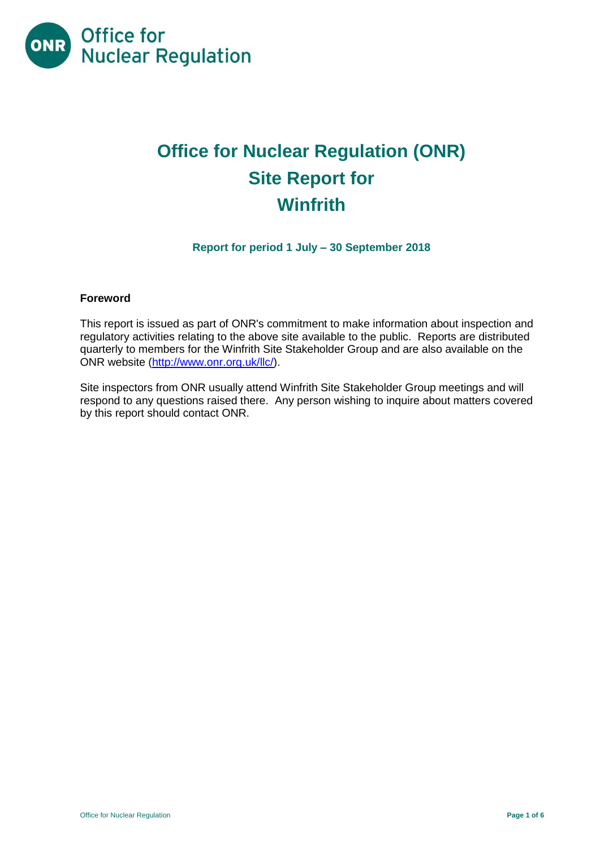

# **Office for Nuclear Regulation (ONR) Site Report for Winfrith**

**Report for period 1 July – 30 September 2018**

### **Foreword**

This report is issued as part of ONR's commitment to make information about inspection and regulatory activities relating to the above site available to the public. Reports are distributed quarterly to members for the Winfrith Site Stakeholder Group and are also available on the ONR website [\(http://www.onr.org.uk/llc/\)](http://www.onr.org.uk/llc/).

Site inspectors from ONR usually attend Winfrith Site Stakeholder Group meetings and will respond to any questions raised there. Any person wishing to inquire about matters covered by this report should contact ONR.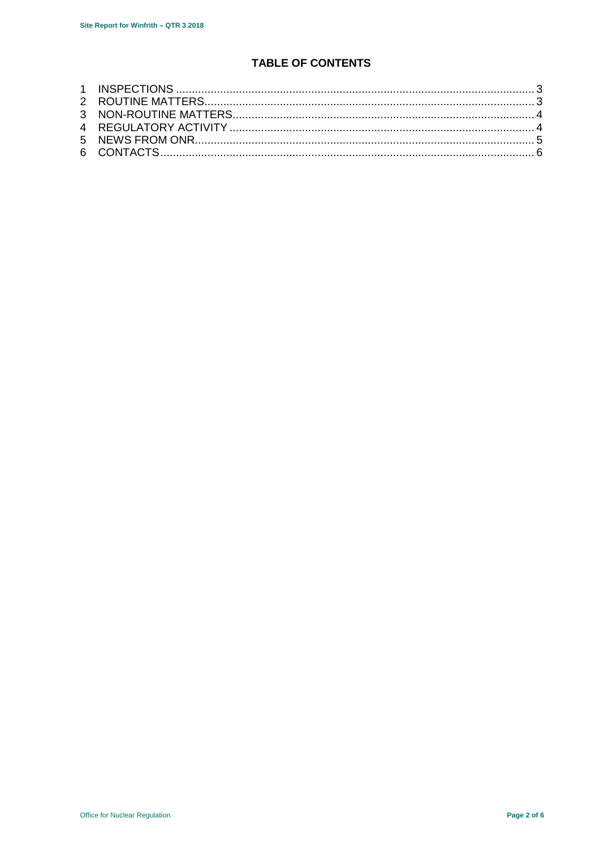# **TABLE OF CONTENTS**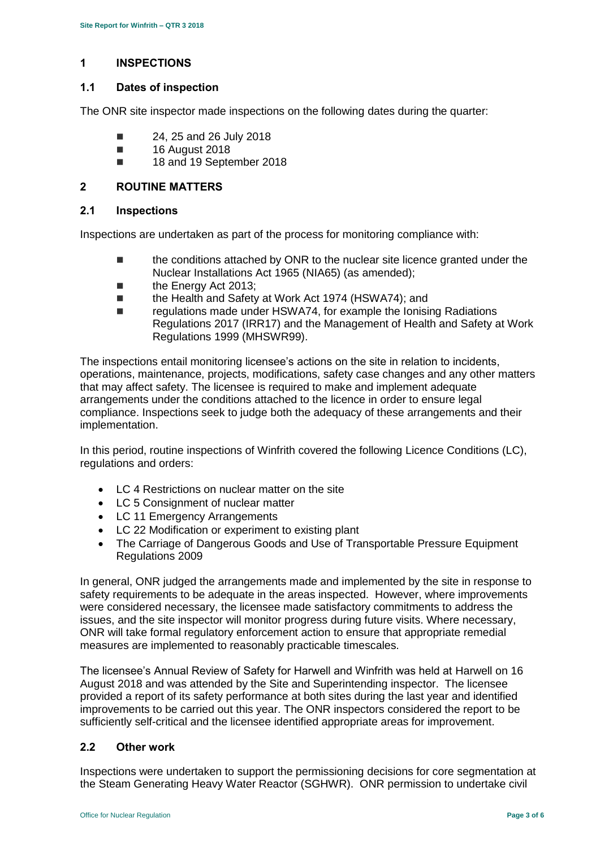### <span id="page-2-0"></span>**1 INSPECTIONS**

#### **1.1 Dates of inspection**

The ONR site inspector made inspections on the following dates during the quarter:

- $\blacksquare$  24, 25 and 26 July 2018
- **16 August 2018**
- 18 and 19 September 2018

#### <span id="page-2-1"></span>**2 ROUTINE MATTERS**

#### **2.1 Inspections**

Inspections are undertaken as part of the process for monitoring compliance with:

- **the conditions attached by ONR to the nuclear site licence granted under the** Nuclear Installations Act 1965 (NIA65) (as amended);
- **the Energy Act 2013:**
- the Health and Safety at Work Act 1974 (HSWA74); and
- regulations made under HSWA74, for example the Ionising Radiations Regulations 2017 (IRR17) and the Management of Health and Safety at Work Regulations 1999 (MHSWR99).

The inspections entail monitoring licensee's actions on the site in relation to incidents, operations, maintenance, projects, modifications, safety case changes and any other matters that may affect safety. The licensee is required to make and implement adequate arrangements under the conditions attached to the licence in order to ensure legal compliance. Inspections seek to judge both the adequacy of these arrangements and their implementation.

In this period, routine inspections of Winfrith covered the following Licence Conditions (LC), regulations and orders:

- LC 4 Restrictions on nuclear matter on the site
- LC 5 Consignment of nuclear matter
- LC 11 Emergency Arrangements
- LC 22 Modification or experiment to existing plant
- The Carriage of Dangerous Goods and Use of Transportable Pressure Equipment Regulations 2009

In general, ONR judged the arrangements made and implemented by the site in response to safety requirements to be adequate in the areas inspected. However, where improvements were considered necessary, the licensee made satisfactory commitments to address the issues, and the site inspector will monitor progress during future visits. Where necessary, ONR will take formal regulatory enforcement action to ensure that appropriate remedial measures are implemented to reasonably practicable timescales.

The licensee's Annual Review of Safety for Harwell and Winfrith was held at Harwell on 16 August 2018 and was attended by the Site and Superintending inspector. The licensee provided a report of its safety performance at both sites during the last year and identified improvements to be carried out this year. The ONR inspectors considered the report to be sufficiently self-critical and the licensee identified appropriate areas for improvement.

### **2.2 Other work**

Inspections were undertaken to support the permissioning decisions for core segmentation at the Steam Generating Heavy Water Reactor (SGHWR). ONR permission to undertake civil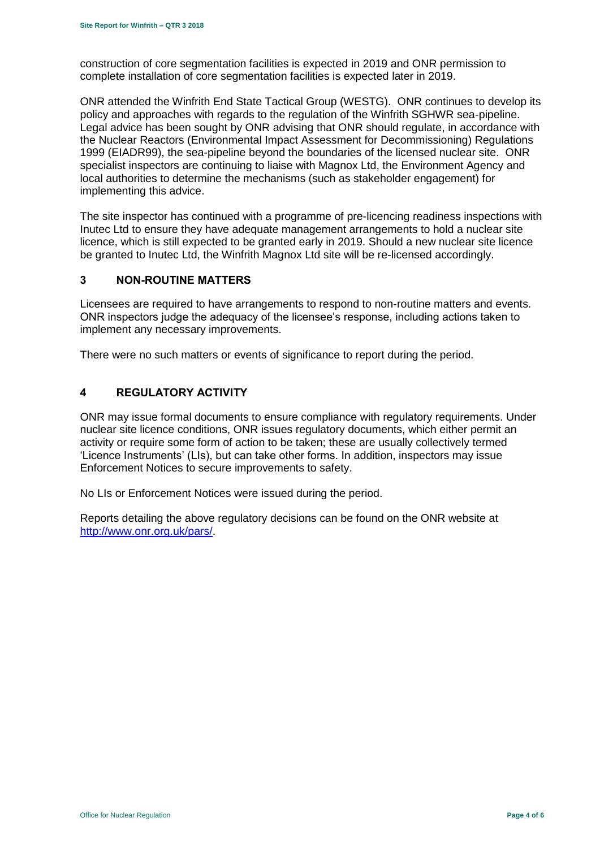construction of core segmentation facilities is expected in 2019 and ONR permission to complete installation of core segmentation facilities is expected later in 2019.

ONR attended the Winfrith End State Tactical Group (WESTG). ONR continues to develop its policy and approaches with regards to the regulation of the Winfrith SGHWR sea-pipeline. Legal advice has been sought by ONR advising that ONR should regulate, in accordance with the Nuclear Reactors (Environmental Impact Assessment for Decommissioning) Regulations 1999 (EIADR99), the sea-pipeline beyond the boundaries of the licensed nuclear site. ONR specialist inspectors are continuing to liaise with Magnox Ltd, the Environment Agency and local authorities to determine the mechanisms (such as stakeholder engagement) for implementing this advice.

The site inspector has continued with a programme of pre-licencing readiness inspections with Inutec Ltd to ensure they have adequate management arrangements to hold a nuclear site licence, which is still expected to be granted early in 2019. Should a new nuclear site licence be granted to Inutec Ltd, the Winfrith Magnox Ltd site will be re-licensed accordingly.

### <span id="page-3-0"></span>**3 NON-ROUTINE MATTERS**

Licensees are required to have arrangements to respond to non-routine matters and events. ONR inspectors judge the adequacy of the licensee's response, including actions taken to implement any necessary improvements.

There were no such matters or events of significance to report during the period.

# <span id="page-3-1"></span>**4 REGULATORY ACTIVITY**

ONR may issue formal documents to ensure compliance with regulatory requirements. Under nuclear site licence conditions, ONR issues regulatory documents, which either permit an activity or require some form of action to be taken; these are usually collectively termed 'Licence Instruments' (LIs), but can take other forms. In addition, inspectors may issue Enforcement Notices to secure improvements to safety.

No LIs or Enforcement Notices were issued during the period.

Reports detailing the above regulatory decisions can be found on the ONR website at [http://www.onr.org.uk/pars/.](http://www.onr.org.uk/pars/)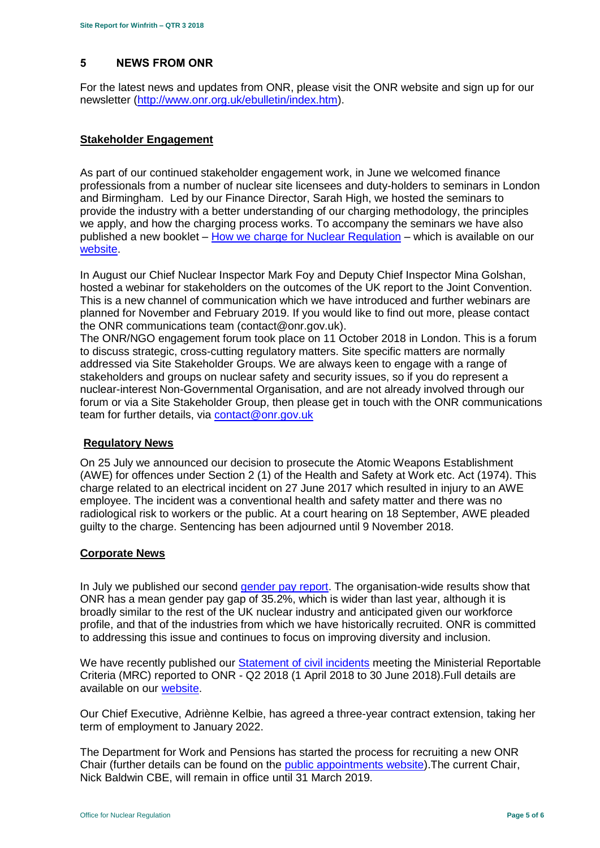# <span id="page-4-0"></span>**5 NEWS FROM ONR**

For the latest news and updates from ONR, please visit the ONR website and sign up for our newsletter [\(http://www.onr.org.uk/ebulletin/index.htm\)](http://www.onr.org.uk/ebulletin/index.htm).

### **Stakeholder Engagement**

As part of our continued stakeholder engagement work, in June we welcomed finance professionals from a number of nuclear site licensees and duty-holders to seminars in London and Birmingham. Led by our Finance Director, Sarah High, we hosted the seminars to provide the industry with a better understanding of our charging methodology, the principles we apply, and how the charging process works. To accompany the seminars we have also published a new booklet – [How we charge for Nuclear Regulation](http://www.onr.org.uk/documents/2018/how-we-charge-for-nuclear-regulation.pdf) – which is available on our **website**.

In August our Chief Nuclear Inspector Mark Foy and Deputy Chief Inspector Mina Golshan, hosted a webinar for stakeholders on the outcomes of the UK report to the Joint Convention. This is a new channel of communication which we have introduced and further webinars are planned for November and February 2019. If you would like to find out more, please contact the ONR communications team (contact@onr.gov.uk).

The ONR/NGO engagement forum took place on 11 October 2018 in London. This is a forum to discuss strategic, cross-cutting regulatory matters. Site specific matters are normally addressed via Site Stakeholder Groups. We are always keen to engage with a range of stakeholders and groups on nuclear safety and security issues, so if you do represent a nuclear-interest Non-Governmental Organisation, and are not already involved through our forum or via a Site Stakeholder Group, then please get in touch with the ONR communications team for further details, via [contact@onr.gov.uk](mailto:contact@onr.gov.uk)

#### **Regulatory News**

On 25 July we announced our decision to prosecute the Atomic Weapons Establishment (AWE) for offences under Section 2 (1) of the Health and Safety at Work etc. Act (1974). This charge related to an electrical incident on 27 June 2017 which resulted in injury to an AWE employee. The incident was a conventional health and safety matter and there was no radiological risk to workers or the public. At a court hearing on 18 September, AWE pleaded guilty to the charge. Sentencing has been adjourned until 9 November 2018.

#### **Corporate News**

In July we published our second [gender pay report.](http://news.onr.org.uk/2018/07/onr-publishes-second-gender-pay-report/) The organisation-wide results show that ONR has a mean gender pay gap of 35.2%, which is wider than last year, although it is broadly similar to the rest of the UK nuclear industry and anticipated given our workforce profile, and that of the industries from which we have historically recruited. ONR is committed to addressing this issue and continues to focus on improving diversity and inclusion.

We have recently published our [Statement of civil incidents](http://www.onr.org.uk/quarterly-stat/2018-2.htm) meeting the Ministerial Reportable Criteria (MRC) reported to ONR - Q2 2018 (1 April 2018 to 30 June 2018).Full details are available on our [website.](http://www.onr.org.uk/quarterly-stat/2018-2.htm)

Our Chief Executive, Adriènne Kelbie, has agreed a three-year contract extension, taking her term of employment to January 2022.

The Department for Work and Pensions has started the process for recruiting a new ONR Chair (further details can be found on the [public appointments website\)](https://publicappointments.cabinetoffice.gov.uk/appointment/chair-the-office-for-nuclear-regulations/).The current Chair, Nick Baldwin CBE, will remain in office until 31 March 2019.